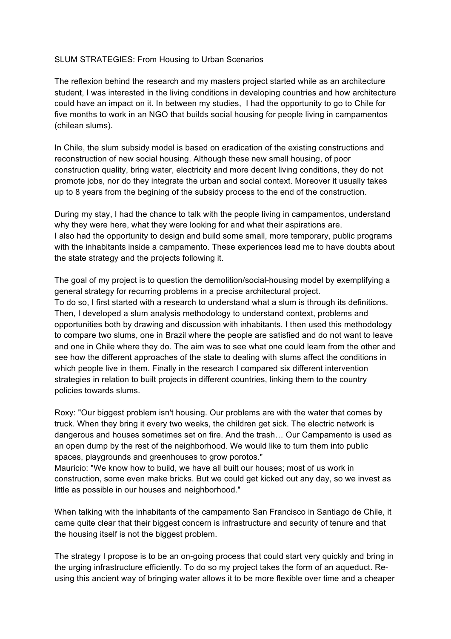## SLUM STRATEGIES: From Housing to Urban Scenarios

The reflexion behind the research and my masters project started while as an architecture student, I was interested in the living conditions in developing countries and how architecture could have an impact on it. In between my studies, I had the opportunity to go to Chile for five months to work in an NGO that builds social housing for people living in campamentos (chilean slums).

In Chile, the slum subsidy model is based on eradication of the existing constructions and reconstruction of new social housing. Although these new small housing, of poor construction quality, bring water, electricity and more decent living conditions, they do not promote jobs, nor do they integrate the urban and social context. Moreover it usually takes up to 8 years from the begining of the subsidy process to the end of the construction.

During my stay, I had the chance to talk with the people living in campamentos, understand why they were here, what they were looking for and what their aspirations are. I also had the opportunity to design and build some small, more temporary, public programs with the inhabitants inside a campamento. These experiences lead me to have doubts about the state strategy and the projects following it.

The goal of my project is to question the demolition/social-housing model by exemplifying a general strategy for recurring problems in a precise architectural project. To do so, I first started with a research to understand what a slum is through its definitions. Then, I developed a slum analysis methodology to understand context, problems and opportunities both by drawing and discussion with inhabitants. I then used this methodology to compare two slums, one in Brazil where the people are satisfied and do not want to leave and one in Chile where they do. The aim was to see what one could learn from the other and see how the different approaches of the state to dealing with slums affect the conditions in which people live in them. Finally in the research I compared six different intervention strategies in relation to built projects in different countries, linking them to the country policies towards slums.

Roxy: "Our biggest problem isn't housing. Our problems are with the water that comes by truck. When they bring it every two weeks, the children get sick. The electric network is dangerous and houses sometimes set on fire. And the trash… Our Campamento is used as an open dump by the rest of the neighborhood. We would like to turn them into public spaces, playgrounds and greenhouses to grow porotos."

Mauricio: "We know how to build, we have all built our houses; most of us work in construction, some even make bricks. But we could get kicked out any day, so we invest as little as possible in our houses and neighborhood."

When talking with the inhabitants of the campamento San Francisco in Santiago de Chile, it came quite clear that their biggest concern is infrastructure and security of tenure and that the housing itself is not the biggest problem.

The strategy I propose is to be an on-going process that could start very quickly and bring in the urging infrastructure efficiently. To do so my project takes the form of an aqueduct. Reusing this ancient way of bringing water allows it to be more flexible over time and a cheaper